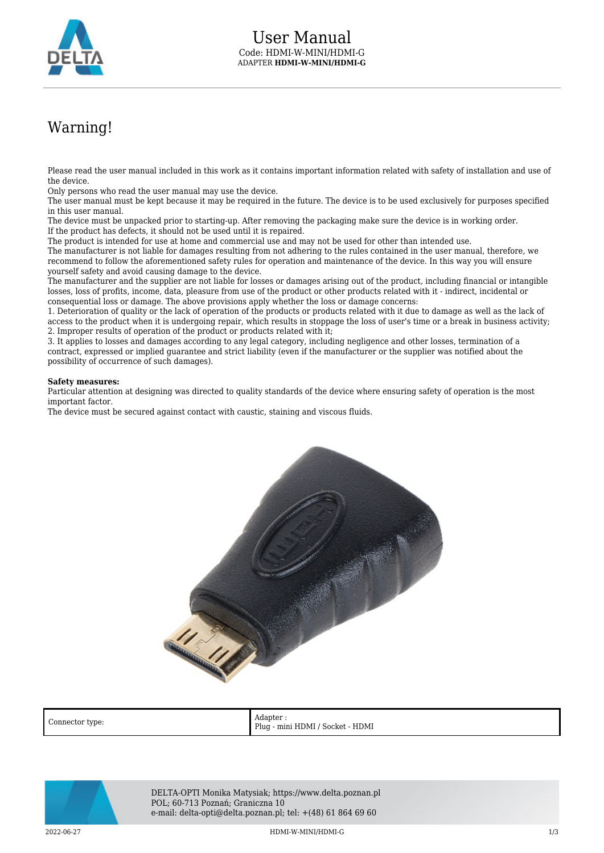

## Warning!

Please read the user manual included in this work as it contains important information related with safety of installation and use of the device.

Only persons who read the user manual may use the device.

The user manual must be kept because it may be required in the future. The device is to be used exclusively for purposes specified in this user manual.

The device must be unpacked prior to starting-up. After removing the packaging make sure the device is in working order. If the product has defects, it should not be used until it is repaired.

The product is intended for use at home and commercial use and may not be used for other than intended use.

The manufacturer is not liable for damages resulting from not adhering to the rules contained in the user manual, therefore, we recommend to follow the aforementioned safety rules for operation and maintenance of the device. In this way you will ensure yourself safety and avoid causing damage to the device.

The manufacturer and the supplier are not liable for losses or damages arising out of the product, including financial or intangible losses, loss of profits, income, data, pleasure from use of the product or other products related with it - indirect, incidental or consequential loss or damage. The above provisions apply whether the loss or damage concerns:

1. Deterioration of quality or the lack of operation of the products or products related with it due to damage as well as the lack of access to the product when it is undergoing repair, which results in stoppage the loss of user's time or a break in business activity; 2. Improper results of operation of the product or products related with it;

3. It applies to losses and damages according to any legal category, including negligence and other losses, termination of a contract, expressed or implied guarantee and strict liability (even if the manufacturer or the supplier was notified about the possibility of occurrence of such damages).

## **Safety measures:**

Particular attention at designing was directed to quality standards of the device where ensuring safety of operation is the most important factor.

The device must be secured against contact with caustic, staining and viscous fluids.



Connector type: Adapter : Plug - mini HDMI / Socket - HDMI



DELTA-OPTI Monika Matysiak; https://www.delta.poznan.pl POL; 60-713 Poznań; Graniczna 10 e-mail: delta-opti@delta.poznan.pl; tel: +(48) 61 864 69 60

2022-06-27 HDMI-W-MINI/HDMI-G 1/3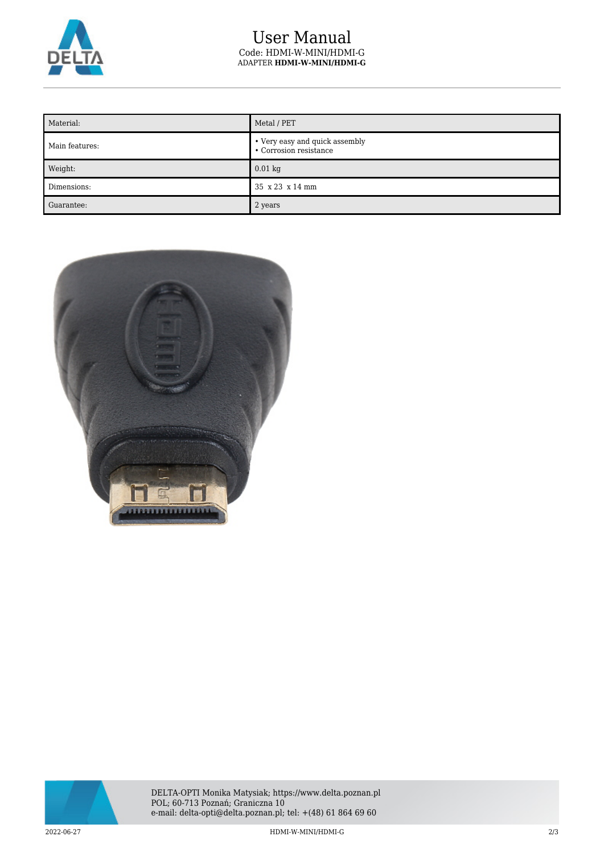

## User Manual Code: HDMI-W-MINI/HDMI-G ADAPTER **HDMI-W-MINI/HDMI-G**

| Material:      | Metal / PET                                              |
|----------------|----------------------------------------------------------|
| Main features: | • Very easy and quick assembly<br>• Corrosion resistance |
| Weight:        | $0.01$ kg                                                |
| Dimensions:    | 35 x 23 x 14 mm                                          |
| Guarantee:     | 2 years                                                  |





DELTA-OPTI Monika Matysiak; https://www.delta.poznan.pl POL; 60-713 Poznań; Graniczna 10 e-mail: delta-opti@delta.poznan.pl; tel: +(48) 61 864 69 60

2022-06-27 HDMI-W-MINI/HDMI-G 2/3